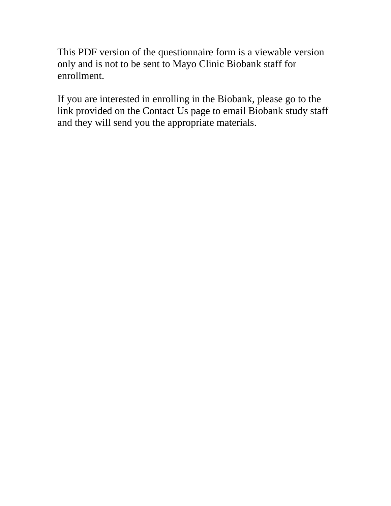This PDF version of the questionnaire form is a viewable version only and is not to be sent to Mayo Clinic Biobank staff for enrollment.

If you are interested in enrolling in the Biobank, please go to the link provided on the Contact Us page to email Biobank study staff and they will send you the appropriate materials.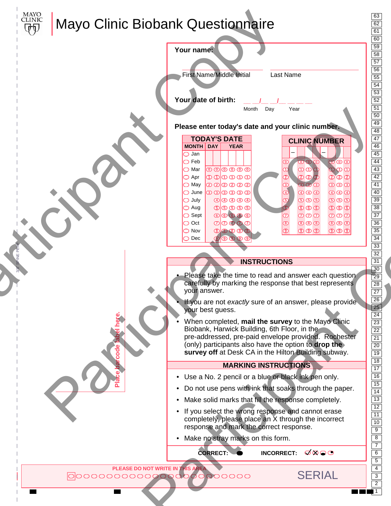

3/8" SPINE PERF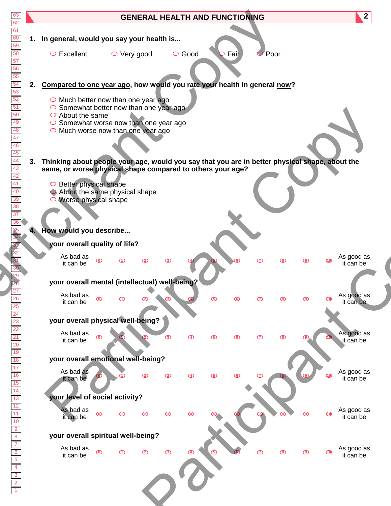| 63<br>62                                                                                                                                            |    |                                                                                                                |                   |              |                |              | <b>GENERAL HEALTH AND FUNCTIONING</b> |      |                |   |   |           | $\overline{2}$          |  |
|-----------------------------------------------------------------------------------------------------------------------------------------------------|----|----------------------------------------------------------------------------------------------------------------|-------------------|--------------|----------------|--------------|---------------------------------------|------|----------------|---|---|-----------|-------------------------|--|
| $\overline{61}$<br>$\begin{array}{r}\n\hline\n60 \\ \hline\n59 \\ \hline\n58\n\end{array}$                                                          |    | 1. In general, would you say your health is                                                                    |                   |              |                |              |                                       |      |                |   |   |           |                         |  |
| $\frac{57}{56}$ $\frac{56}{54}$ $\frac{54}{53}$ $\frac{52}{51}$                                                                                     |    | $\circ$ Excellent                                                                                              | $\circ$ Very good |              |                | $\circ$ Good |                                       | Fair | Poor           |   |   |           |                         |  |
|                                                                                                                                                     | 2. | Compared to one year ago, how would you rate your health in general now?                                       |                   |              |                |              |                                       |      |                |   |   |           |                         |  |
| $\overline{50}$                                                                                                                                     |    | $\circ$ Much better now than one year ago<br>○ Somewhat better now than one year ago<br>$\circ$ About the same |                   |              |                |              |                                       |      |                |   |   |           |                         |  |
| $\frac{49}{48}$                                                                                                                                     |    | $\circ$ Somewhat worse now than one year ago<br>$\circ$ Much worse now than one year ago                       |                   |              |                |              |                                       |      |                |   |   |           |                         |  |
| $\begin{array}{r l}\n\hline\n47 \\ \hline\n46 \\ \hline\n44 \\ \hline\n43 \\ \hline\n42 \\ \hline\n41\n\end{array}$                                 | 3. | Thinking about people your age, would you say that you are in better physical shape, about the                 |                   |              |                |              |                                       |      |                |   |   |           |                         |  |
|                                                                                                                                                     |    | same, or worse physical shape compared to others your age?                                                     |                   |              |                |              |                                       |      |                |   |   |           |                         |  |
| $\frac{\overline{40}}{\overline{39}}$ $\frac{\overline{38}}{\overline{37}}$                                                                         |    | O Better physical shape<br>About the same physical shape<br>$\circ$ Worse physical shape                       |                   |              |                |              |                                       |      |                |   |   |           |                         |  |
| $\overline{36}$                                                                                                                                     |    |                                                                                                                |                   |              |                |              |                                       |      |                |   |   |           |                         |  |
|                                                                                                                                                     |    | 4. How would you describe                                                                                      |                   |              |                |              |                                       |      |                |   |   |           |                         |  |
|                                                                                                                                                     |    | your overall quality of life?                                                                                  |                   |              |                |              |                                       |      |                |   |   |           |                         |  |
|                                                                                                                                                     |    | As bad as<br>it can be                                                                                         |                   |              |                |              |                                       |      |                |   |   |           | As good as<br>it can be |  |
|                                                                                                                                                     |    | your overall mental (intellectual) well-being?                                                                 |                   |              |                |              |                                       |      |                |   |   |           |                         |  |
|                                                                                                                                                     |    | As bad as<br>$\circledcirc$<br>it can be                                                                       | $\bigcirc$        | $^\circledR$ |                |              | ග                                     |      | 77             |   | ⊚ | <b>TO</b> | As good as<br>it can be |  |
|                                                                                                                                                     |    | your overall physical well-being?                                                                              |                   |              |                |              |                                       |      |                |   |   |           |                         |  |
| <u>26<br/>26<br/>27<br/>21<br/>20<br/>20<br/>20<br/>30<br/>20<br/>30<br/>20<br/>30<br/>20<br/>20<br/>20<br/>20<br/>20<br/>20<br/>20<br/>20<br/></u> |    | As bad as<br>ൕ<br>it can be                                                                                    |                   |              | $\circledcirc$ | ④            | ග                                     |      | $\circledcirc$ | ◙ |   |           | As good as<br>it can be |  |
|                                                                                                                                                     |    | your overall emotional well-being?                                                                             |                   |              |                |              |                                       |      |                |   |   |           |                         |  |
|                                                                                                                                                     |    | As bad as<br>it can be                                                                                         |                   | $^\circledR$ | ③              | $\bigcirc$   | $\circled$                            | ൹    | $\circledcirc$ |   |   |           | As good as<br>it can be |  |
|                                                                                                                                                     |    | your level of social activity?                                                                                 |                   |              |                |              |                                       |      |                |   |   |           |                         |  |
|                                                                                                                                                     |    | As bad as<br>$\circledcirc$<br>it can be                                                                       | $\bigcirc$        | ☎            | $\circled{3}$  | $\bigcirc$   |                                       |      |                |   | ◉ | ൹         | As good as<br>it can be |  |
|                                                                                                                                                     |    | your overall spiritual well-being?                                                                             |                   |              |                |              |                                       |      |                |   |   |           |                         |  |
|                                                                                                                                                     |    | As bad as<br>$\circledcirc$<br>it can be                                                                       | $\circ$           |              | $\circled{3}$  |              |                                       |      | $\circledcirc$ |   | ⊚ | ൹         | As good as<br>it can be |  |
|                                                                                                                                                     |    |                                                                                                                |                   |              |                |              |                                       |      |                |   |   |           |                         |  |
|                                                                                                                                                     |    |                                                                                                                |                   |              |                |              |                                       |      |                |   |   |           |                         |  |
|                                                                                                                                                     |    |                                                                                                                |                   |              |                |              |                                       |      |                |   |   |           |                         |  |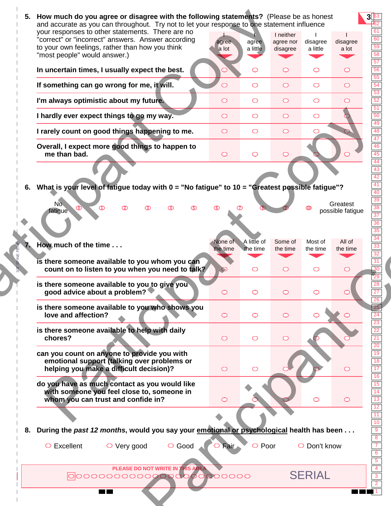| your responses to other statements. There are no<br>"correct" or "incorrect" answers. Answer according<br>to your own feelings, rather than how you think<br>"most people" would answer.) | agree<br>a lot      | agree<br>a little                  | I neither<br>agree nor<br>disagree | disagree<br>a little           | disagree<br>a lot             |
|-------------------------------------------------------------------------------------------------------------------------------------------------------------------------------------------|---------------------|------------------------------------|------------------------------------|--------------------------------|-------------------------------|
| In uncertain times, I usually expect the best.                                                                                                                                            |                     | ◯                                  | $\circ$                            | $\bigcirc$                     | $\circ$                       |
| If something can go wrong for me, it will.                                                                                                                                                |                     | $\circ$                            | $\circ$                            | $\circ$                        | $\circ$                       |
| I'm always optimistic about my future.                                                                                                                                                    | $\circ$             | $\circ$                            | $\bigcirc$                         | $\circ$                        | $\circ$                       |
| I hardly ever expect things to go my way.                                                                                                                                                 | $\circ$             | $\circ$                            | $\bigcirc$                         | $\bigcirc$                     |                               |
| I rarely count on good things happening to me.                                                                                                                                            | $\circ$             | $\circ$                            | $\circ$                            | $\bigcirc$                     |                               |
| Overall, I expect more good things to happen to<br>me than bad.                                                                                                                           | $\circ$             | $\circ$                            | $\circ$                            |                                |                               |
| 6. What is your level of fatigue today with 0 = "No fatigue" to 10 = "Greatest possible fatigue"?<br>No.<br>ത<br>fatigue                                                                  | ര                   |                                    |                                    |                                | Greatest<br>possible fatigue  |
| How much of the time<br>is there someone available to you whom you can<br>count on to listen to you when you need to talk?                                                                | None of<br>the time | A little of<br>the time<br>$\circ$ | Some of<br>the time<br>$\circ$     | Most of<br>the time<br>$\circ$ | All of<br>the time<br>$\circ$ |
| is there someone available to you to give you<br>good advice about a problem?                                                                                                             |                     |                                    |                                    |                                |                               |
| is there someone available to you who shows you<br>love and affection?                                                                                                                    | $\circ$             | $\circ$                            | $\bigcirc$                         | $\bigcirc$                     |                               |
| is there someone available to help with daily<br>chores?                                                                                                                                  | $\circ$             | $\circ$                            | $\circ$                            |                                |                               |
| can you count on anyone to provide you with<br>emotional support (talking over problems or<br>helping you make a difficult decision)?                                                     | $\circ$             | $\circ$                            |                                    |                                | $\circ$                       |
| do you have as much contact as you would like<br>with someone you feel close to, someone in<br>whom you can trust and confide in?                                                         | $\circ$             |                                    |                                    | $\bigcirc$                     | $\circ$                       |
|                                                                                                                                                                                           |                     |                                    |                                    |                                |                               |
| 8. During the past 12 months, would you say your emotional or psychological health has been<br>$\circ$ Excellent<br>$\circ$ Very good                                                     | ○ Good<br>O Fair    | $\circ$ Poor                       |                                    | $\bigcirc$ Don't know          |                               |
|                                                                                                                                                                                           |                     |                                    |                                    |                                |                               |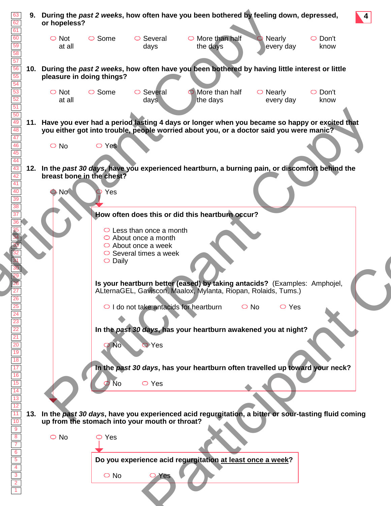| 63<br>62<br>61                                                                   | 9.  | During the past 2 weeks, how often have you been bothered by feeling down, depressed,<br>or hopeless?                                                                                       | $\sqrt{4}$ |
|----------------------------------------------------------------------------------|-----|---------------------------------------------------------------------------------------------------------------------------------------------------------------------------------------------|------------|
| 60<br>59<br>58                                                                   |     | $\circ$ Some<br>$\circ$ Not<br>$\circ$ Several<br>$\circ$ More than half<br>$\circ$ Don't<br><b>Nearly</b><br>at all<br>every day<br>the days<br>know<br>days                               |            |
| 57<br>56<br>55<br>$\overline{54}$                                                | 10. | During the past 2 weeks, how often have you been bothered by having little interest or little<br>pleasure in doing things?                                                                  |            |
| $\overline{53}$<br>52<br>$\overline{51}$                                         |     | $\circ$ Some<br>More than half<br>$\circ$ Not<br>$\circ$ Several<br>$\circ$ Nearly<br>$\circ$ Don't<br>the days<br>at all<br>every day<br>know<br>days                                      |            |
| 50<br>49<br>48<br>47                                                             |     | 11. Have you ever had a period lasting 4 days or longer when you became so happy or excited that<br>you either got into trouble, people worried about you, or a doctor said you were manic? |            |
| 46<br>45<br>44                                                                   |     | $\circ$ Yes<br>$\bigcirc$ No                                                                                                                                                                |            |
| 43<br>42<br>41<br>40                                                             |     | 12. In the past 30 days, have you experienced heartburn, a burning pain, or discomfort behind the<br>breast bone in the chest?<br>$\bigcirc$ No $\bigcirc$<br>Yes                           |            |
| $\overline{39}$<br>$\overline{38}$<br>$\overline{37}$                            |     | How often does this or did this heartburn occur?                                                                                                                                            |            |
|                                                                                  |     | $\circ$ Less than once a month<br>$\circ$ About once a month<br>$\circ$ About once a week<br>$\circ$ Several times a week<br>$\circ$ Daily                                                  |            |
|                                                                                  |     | Is your heartburn better (eased) by taking antacids? (Examples: Amphojel,<br>ALternaGEL, Gaviscon, Maalox, Mylanta, Riopan, Rolaids, Tums.)                                                 |            |
|                                                                                  |     | $\circ$ I do not take antacids for heartburn<br>$\circ$ Yes<br>$\circ$ No<br>In the past 30 days, has your heartburn awakened you at night?                                                 |            |
|                                                                                  |     | Yes                                                                                                                                                                                         |            |
|                                                                                  |     | In the past 30 days, has your heartburn often travelled up toward your neck?<br>$\circ$ Yes<br>No                                                                                           |            |
| $\overline{11}$                                                                  |     | 13. In the past 30 days, have you experienced acid regurgitation, a bitter or sour-tasting fluid coming                                                                                     |            |
| $\begin{array}{r} \hline 10 \\ \hline 9 \\ \hline 8 \end{array}$                 |     | up from the stomach into your mouth or throat?                                                                                                                                              |            |
| $\overline{7}$                                                                   |     | $\bigcirc$ No<br>$\circ$ Yes                                                                                                                                                                |            |
| $\begin{array}{ c c }\n\hline\n6 & 5 \\ \hline\n4 & 3 \\ \hline\n2\n\end{array}$ |     | Do you experience acid regurgitation at least once a week?<br>$\bigcirc$ No<br>Yes                                                                                                          |            |
|                                                                                  |     |                                                                                                                                                                                             |            |
|                                                                                  |     |                                                                                                                                                                                             |            |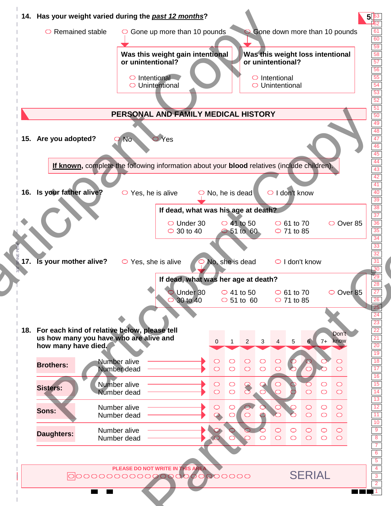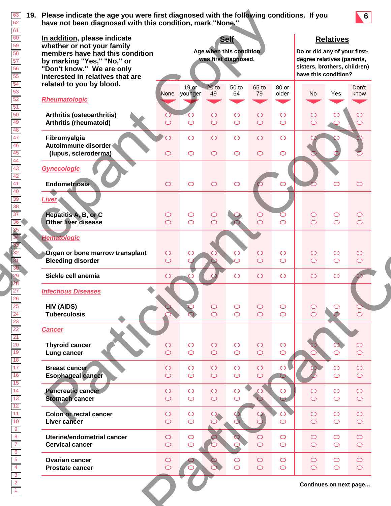

| In addition, please indicate<br>whether or not your family<br>members have had this condition<br>by marking "Yes," "No," or<br>"Don't know." We are only<br>interested in relatives that are |                          |                          | Age when this condition<br>was first diagnosed. | <b>Self</b>                       |                                     |                                   | Do or did any of your first-<br>degree relatives (parents,<br>sisters, brothers, children)<br>have this condition? | <b>Relatives</b>               |                          |
|----------------------------------------------------------------------------------------------------------------------------------------------------------------------------------------------|--------------------------|--------------------------|-------------------------------------------------|-----------------------------------|-------------------------------------|-----------------------------------|--------------------------------------------------------------------------------------------------------------------|--------------------------------|--------------------------|
| related to you by blood.<br>Rheumatologic                                                                                                                                                    |                          | 19 or<br>None younger    | $20$ to<br>49                                   | 50 to<br>64                       | 65 to<br>79                         | 80 or<br>older                    | No                                                                                                                 | Yes                            | Don't<br>know            |
| Arthritis (osteoarthritis)<br><b>Arthritis (rheumatoid)</b>                                                                                                                                  |                          | $\bigcirc$               | $\bigcirc$<br>$\bigcirc$                        | O<br>$\bigcirc$                   | $\bigcirc$<br>$\circ$               | $\bigcirc$<br>$\bigcirc$          | $\circlearrowright$<br>$\bigcirc$                                                                                  |                                | ⊂                        |
| Fibromyalgia<br>Autoimmune disorder<br>(lupus, scleroderma)                                                                                                                                  | $\circ$                  | $\bigcirc$<br>$\bigcirc$ | $\circ$<br>$\circ$                              | $\circlearrowright$<br>$\bigcirc$ | $\circ$<br>$\circ$                  | $\bigcirc$<br>$\bigcirc$          |                                                                                                                    |                                |                          |
| <b>Gynecologic</b><br><b>Endometriosis</b>                                                                                                                                                   | $\circ$                  | $\bigcirc$               | $\circ$                                         | $\circlearrowright$               |                                     |                                   |                                                                                                                    |                                | $\circ$                  |
| <b>Liver</b><br>Hepatitis A, B, or C<br>Other liver disease                                                                                                                                  | $\circ$<br>$\circ$       | $\bigcirc$<br>$\circ$    | $\circ$<br>$\circ$                              |                                   | $\bigcirc$<br>$\overline{\bigcirc}$ | $\circlearrowright$<br>$\bigcirc$ | $\bigcirc$<br>$\circ$                                                                                              | $\circlearrowright$<br>$\circ$ | $\circ$<br>$\bigcirc$    |
| <b>Hematologic</b><br>Organ or bone marrow transplant<br><b>Bleeding disorder</b>                                                                                                            | $\circ$<br>$\circ$       |                          |                                                 |                                   | $\circ$<br>$\overline{\bigcirc}$    | $\bigcirc$<br>$\bigcirc$          | $\circ$<br>$\circ$                                                                                                 | $\circlearrowright$<br>$\circ$ | $\circ$<br>$\bigcirc$    |
| Sickle cell anemia                                                                                                                                                                           | $\circ$                  |                          |                                                 | ◯                                 | $\circ$                             | $\bigcirc$                        | $\bigcirc$                                                                                                         | $\circ$                        |                          |
| <b>Infectious Diseases</b><br><b>HIV (AIDS)</b><br><b>Tuberculosis</b>                                                                                                                       |                          |                          | $\bigcirc$<br>$\circ$                           | $\circlearrowright$<br>$\bigcirc$ | $\circ$<br>$\circ$                  | $\bigcirc$<br>$\bigcirc$          | $\bigcirc$<br>$\circ$                                                                                              | O                              | $\bigcirc$               |
| <b>Cancer</b><br><b>Thyroid cancer</b><br>Lung cancer                                                                                                                                        | $\circ$<br>$\circ$       | $\bigcirc$<br>$\bigcirc$ | $\bigcirc$<br>$\circ$                           | $\circ$<br>$\circ$                | $\circ$<br>$\circ$                  | $\bigcirc$<br>$\bigcirc$          |                                                                                                                    | $\bigcirc$                     | O<br>$\bigcirc$          |
| <b>Breast cancer</b><br><b>Esophageal cancer</b>                                                                                                                                             | $\circ$<br>$\circ$       | $\bigcirc$<br>$\circ$    | $\circ$<br>$\circ$                              | $\bigcirc$<br>$\bigcirc$          | $\bigcirc$<br>$\bigcirc$            | $\bigcirc$                        |                                                                                                                    | $\circ$<br>$\circ$             | $\bigcirc$<br>$\bigcirc$ |
| <b>Pancreatic cancer</b><br><b>Stomach cancer</b>                                                                                                                                            | $\circ$<br>$\circ$       | $\bigcirc$<br>$\circ$    | $\circ$<br>$\bigcirc$                           | $\circ$                           |                                     | $\circ$                           | $\bigcirc$<br>$\circ$                                                                                              | $\circ$<br>$\circ$             | $\circ$<br>$\bigcirc$    |
| Colon or rectal cancer<br>Liver cancer                                                                                                                                                       | $\circ$<br>$\circ$       | $\bigcirc$<br>$\circ$    | $\overline{O}$                                  |                                   |                                     | $\bigcirc$                        | $\circ$<br>$\circ$                                                                                                 | $\circ$<br>$\circ$             | $\bigcirc$<br>$\bigcirc$ |
| Uterine/endometrial cancer<br><b>Cervical cancer</b>                                                                                                                                         | $\bigcirc$<br>$\bigcirc$ | $\bigcirc$<br>$\circ$    |                                                 |                                   | $\bigcirc$<br>$\overline{\bigcirc}$ | $\bigcirc$<br>$\bigcirc$          | $\bigcirc$<br>$\circ$                                                                                              | $\circ$<br>$\bigcirc$          | $\circ$<br>$\bigcirc$    |
| <b>Ovarian cancer</b><br><b>Prostate cancer</b>                                                                                                                                              | $\bigcirc$<br>$\circ$    |                          |                                                 | $\circlearrowright$<br>$\bigcirc$ | $\bigcirc$<br>$\bigcirc$            | $\bigcirc$<br>$\bigcirc$          | $\bigcirc$<br>$\bigcirc$                                                                                           | $\circ$<br>$\circ$             | $\circ$<br>$\bigcirc$    |
|                                                                                                                                                                                              |                          |                          |                                                 |                                   |                                     |                                   | Continues on next page                                                                                             |                                |                          |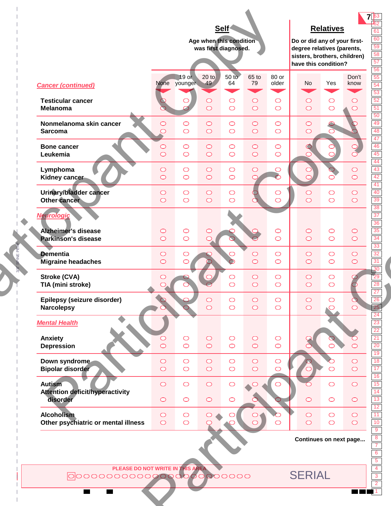| Self<br><b>Relatives</b><br>Age when this condition<br>Do or did any of your first-<br>was first diagnosed.<br>degree relatives (parents,<br>sisters, brothers, children)<br>have this condition?<br>$20$ to<br>50 to<br>19 or<br>65 to<br>80 or<br>Don't<br>$-49$<br>64<br>79<br>No<br>Yes<br>None younger<br>older<br>know<br><b>Cancer (continued)</b><br><b>Testicular cancer</b><br>$\bigcirc$<br>$\bigcirc$<br>$\bigcirc$<br>$\circ$<br>$\circ$<br>$\circ$<br>O<br>$\circ$<br>$\circ$<br>$\circ$<br>$\circ$<br><b>Melanoma</b><br>$\bigcirc$<br>$\circ$<br>$\circ$<br>Nonmelanoma skin cancer<br>$\bigcirc$<br>$\circ$<br>$\bigcirc$<br>$\circ$<br>$\circ$<br>$\circ$<br>$\circ$<br>$\bigcirc$<br>$\circ$<br>$\circ$<br>$\bigcirc$<br>$\bigcirc$<br>$\bigcirc$<br>$\bigcirc$<br><b>Sarcoma</b><br>$\circ$<br>O<br><b>Bone cancer</b><br>$\bigcirc$<br>$\bigcirc$<br>$\bigcirc$<br>$\circ$<br>$\circ$<br>$\bigcirc$<br>$\overline{O}$<br>$\bigcirc$<br>$\bigcirc$<br>$\bigcirc$<br>$\circ$<br>$\bigcirc$<br>$\bigcirc$<br>Leukemia<br>$\bigcap$<br>$\bigcirc$<br>Lymphoma<br>$\bigcirc$<br>$\bigcirc$<br>$\bigcirc$<br>$\circ$<br>$\bigcirc$<br>$\bigcirc$<br>$\bigcirc$<br>$\circ$<br>$\bigcirc$<br>$\bigcirc$<br>$\circ$<br>Kidney cancer<br>⊂<br>◯<br>Urinary/bladder cancer<br>$\bigcirc$<br>$\bigcirc$<br>$\bigcirc$<br>$\bigcirc$<br>$\bigcirc$<br>$\circ$<br>$\bigcirc$<br>$\circ$<br>$\circ$<br>$\circ$<br>$\bigcirc$<br>$\circ$<br>$\circ$<br>Other cancer<br>$\bigcirc$<br>$\bigcirc$<br>$\bigcirc$<br><b>Neurologic</b><br><b>Alzheimer's disease</b><br>$\circ$<br>$\bigcirc$<br>$\circ$<br>$\bigcirc$<br>$\circ$<br>$\bigcirc$<br>$\circ$<br>$\circ$<br>$\circ$<br>$\circ$<br><b>Parkinson's disease</b><br>$\circ$<br>$\bigcirc$<br>$\circ$<br>◯<br><b>Dementia</b><br>$\bigcirc$<br>$\bigcirc$<br>$\bigcirc$<br>$\circ$<br>$\bigcirc$<br>$\circ$<br>$\circ$<br>$\circ$<br>$\bigcirc$<br>$\circ$<br>$\circ$<br>$\circ$<br>$\bigcirc$<br>$\circ$<br><b>Migraine headaches</b><br>Stroke (CVA)<br>$\bigcirc$<br>$\circ$<br>$\circ$<br>$\bigcirc$<br>$\circlearrowright$<br>$\circ$<br>$\circ$<br>TIA (mini stroke)<br>$\subset$<br>$\circ$<br>$\bigcirc$<br>$\circ$<br>$\circ$<br>Epilepsy (seizure disorder)<br>$\bigcirc$<br>$\circ$<br>$\bigcirc$<br>$\circ$<br>$\circ$<br>C<br>$\circ$<br>$\bigcirc$<br><b>Narcolepsy</b><br>$\circ$<br>$\circ$<br>$\circ$<br>$\circlearrowright$<br><b>Mental Health</b><br>Anxiety<br>$\bigcirc$<br>$\bigcirc$<br>$\circ$<br>$\bigcirc$<br>$\bigcirc$<br>O<br>$\overline{\bigcirc}$<br>$\circ$<br>$\circ$<br><b>Depression</b><br>$\bigcirc$<br>$\circ$<br>$\bigcirc$<br>$\bigcirc$<br>Down syndrome<br>$\circ$<br>$\bigcirc$<br>$\bigcirc$<br>$\bigcirc$<br>$\bigcirc$<br>$\bigcirc$<br>$\circ$<br>$\circ$<br>$\circ$<br><b>Bipolar disorder</b><br>$\circ$<br>$\bigcirc$<br>$\circ$<br>$\bigcirc$<br>$\circ$<br>$\bigcirc$<br>$\bigcirc$<br><b>Autism</b><br>$\bigcirc$<br>$\bigcirc$<br>$\circ$<br>$\circ$<br>$\bigcirc$<br><b>Attention deficit/hyperactivity</b><br>disorder<br>$\circ$<br>$\circ$<br>$\bigcirc$<br>$\bigcirc$<br>$\bigcirc$<br>$\circ$<br>$\circ$<br><b>Alcoholism</b><br>$\circ$<br>$\bigcirc$<br>$\circ$<br>$\bigcirc$<br>$\bigcirc$<br>$\circ$<br>$\overline{O}$<br>$\circ$<br>Other psychiatric or mental illness<br>$\bigcirc$<br>$\circ$<br>$\bigcirc$<br>$\circ$<br>$\circ$<br>$\bigcirc$<br>Continues on next page<br>PLEASE DO NOT WRITE IN THIS AREA<br><b>SERIAL</b><br>000000000000000000000000 |  |  |  |  |  |
|------------------------------------------------------------------------------------------------------------------------------------------------------------------------------------------------------------------------------------------------------------------------------------------------------------------------------------------------------------------------------------------------------------------------------------------------------------------------------------------------------------------------------------------------------------------------------------------------------------------------------------------------------------------------------------------------------------------------------------------------------------------------------------------------------------------------------------------------------------------------------------------------------------------------------------------------------------------------------------------------------------------------------------------------------------------------------------------------------------------------------------------------------------------------------------------------------------------------------------------------------------------------------------------------------------------------------------------------------------------------------------------------------------------------------------------------------------------------------------------------------------------------------------------------------------------------------------------------------------------------------------------------------------------------------------------------------------------------------------------------------------------------------------------------------------------------------------------------------------------------------------------------------------------------------------------------------------------------------------------------------------------------------------------------------------------------------------------------------------------------------------------------------------------------------------------------------------------------------------------------------------------------------------------------------------------------------------------------------------------------------------------------------------------------------------------------------------------------------------------------------------------------------------------------------------------------------------------------------------------------------------------------------------------------------------------------------------------------------------------------------------------------------------------------------------------------------------------------------------------------------------------------------------------------------------------------------------------------------------------------------------------------------------------------------------------------------------------------------------------------------------------------------------------------------------------------------------------------------------------------------------------------------------------------------------------------------------------------------------------------------------------------------------------------------------------------------------------------------------------|--|--|--|--|--|
|                                                                                                                                                                                                                                                                                                                                                                                                                                                                                                                                                                                                                                                                                                                                                                                                                                                                                                                                                                                                                                                                                                                                                                                                                                                                                                                                                                                                                                                                                                                                                                                                                                                                                                                                                                                                                                                                                                                                                                                                                                                                                                                                                                                                                                                                                                                                                                                                                                                                                                                                                                                                                                                                                                                                                                                                                                                                                                                                                                                                                                                                                                                                                                                                                                                                                                                                                                                                                                                                                          |  |  |  |  |  |
|                                                                                                                                                                                                                                                                                                                                                                                                                                                                                                                                                                                                                                                                                                                                                                                                                                                                                                                                                                                                                                                                                                                                                                                                                                                                                                                                                                                                                                                                                                                                                                                                                                                                                                                                                                                                                                                                                                                                                                                                                                                                                                                                                                                                                                                                                                                                                                                                                                                                                                                                                                                                                                                                                                                                                                                                                                                                                                                                                                                                                                                                                                                                                                                                                                                                                                                                                                                                                                                                                          |  |  |  |  |  |
|                                                                                                                                                                                                                                                                                                                                                                                                                                                                                                                                                                                                                                                                                                                                                                                                                                                                                                                                                                                                                                                                                                                                                                                                                                                                                                                                                                                                                                                                                                                                                                                                                                                                                                                                                                                                                                                                                                                                                                                                                                                                                                                                                                                                                                                                                                                                                                                                                                                                                                                                                                                                                                                                                                                                                                                                                                                                                                                                                                                                                                                                                                                                                                                                                                                                                                                                                                                                                                                                                          |  |  |  |  |  |
|                                                                                                                                                                                                                                                                                                                                                                                                                                                                                                                                                                                                                                                                                                                                                                                                                                                                                                                                                                                                                                                                                                                                                                                                                                                                                                                                                                                                                                                                                                                                                                                                                                                                                                                                                                                                                                                                                                                                                                                                                                                                                                                                                                                                                                                                                                                                                                                                                                                                                                                                                                                                                                                                                                                                                                                                                                                                                                                                                                                                                                                                                                                                                                                                                                                                                                                                                                                                                                                                                          |  |  |  |  |  |
|                                                                                                                                                                                                                                                                                                                                                                                                                                                                                                                                                                                                                                                                                                                                                                                                                                                                                                                                                                                                                                                                                                                                                                                                                                                                                                                                                                                                                                                                                                                                                                                                                                                                                                                                                                                                                                                                                                                                                                                                                                                                                                                                                                                                                                                                                                                                                                                                                                                                                                                                                                                                                                                                                                                                                                                                                                                                                                                                                                                                                                                                                                                                                                                                                                                                                                                                                                                                                                                                                          |  |  |  |  |  |
|                                                                                                                                                                                                                                                                                                                                                                                                                                                                                                                                                                                                                                                                                                                                                                                                                                                                                                                                                                                                                                                                                                                                                                                                                                                                                                                                                                                                                                                                                                                                                                                                                                                                                                                                                                                                                                                                                                                                                                                                                                                                                                                                                                                                                                                                                                                                                                                                                                                                                                                                                                                                                                                                                                                                                                                                                                                                                                                                                                                                                                                                                                                                                                                                                                                                                                                                                                                                                                                                                          |  |  |  |  |  |
|                                                                                                                                                                                                                                                                                                                                                                                                                                                                                                                                                                                                                                                                                                                                                                                                                                                                                                                                                                                                                                                                                                                                                                                                                                                                                                                                                                                                                                                                                                                                                                                                                                                                                                                                                                                                                                                                                                                                                                                                                                                                                                                                                                                                                                                                                                                                                                                                                                                                                                                                                                                                                                                                                                                                                                                                                                                                                                                                                                                                                                                                                                                                                                                                                                                                                                                                                                                                                                                                                          |  |  |  |  |  |
|                                                                                                                                                                                                                                                                                                                                                                                                                                                                                                                                                                                                                                                                                                                                                                                                                                                                                                                                                                                                                                                                                                                                                                                                                                                                                                                                                                                                                                                                                                                                                                                                                                                                                                                                                                                                                                                                                                                                                                                                                                                                                                                                                                                                                                                                                                                                                                                                                                                                                                                                                                                                                                                                                                                                                                                                                                                                                                                                                                                                                                                                                                                                                                                                                                                                                                                                                                                                                                                                                          |  |  |  |  |  |
|                                                                                                                                                                                                                                                                                                                                                                                                                                                                                                                                                                                                                                                                                                                                                                                                                                                                                                                                                                                                                                                                                                                                                                                                                                                                                                                                                                                                                                                                                                                                                                                                                                                                                                                                                                                                                                                                                                                                                                                                                                                                                                                                                                                                                                                                                                                                                                                                                                                                                                                                                                                                                                                                                                                                                                                                                                                                                                                                                                                                                                                                                                                                                                                                                                                                                                                                                                                                                                                                                          |  |  |  |  |  |
|                                                                                                                                                                                                                                                                                                                                                                                                                                                                                                                                                                                                                                                                                                                                                                                                                                                                                                                                                                                                                                                                                                                                                                                                                                                                                                                                                                                                                                                                                                                                                                                                                                                                                                                                                                                                                                                                                                                                                                                                                                                                                                                                                                                                                                                                                                                                                                                                                                                                                                                                                                                                                                                                                                                                                                                                                                                                                                                                                                                                                                                                                                                                                                                                                                                                                                                                                                                                                                                                                          |  |  |  |  |  |
|                                                                                                                                                                                                                                                                                                                                                                                                                                                                                                                                                                                                                                                                                                                                                                                                                                                                                                                                                                                                                                                                                                                                                                                                                                                                                                                                                                                                                                                                                                                                                                                                                                                                                                                                                                                                                                                                                                                                                                                                                                                                                                                                                                                                                                                                                                                                                                                                                                                                                                                                                                                                                                                                                                                                                                                                                                                                                                                                                                                                                                                                                                                                                                                                                                                                                                                                                                                                                                                                                          |  |  |  |  |  |
|                                                                                                                                                                                                                                                                                                                                                                                                                                                                                                                                                                                                                                                                                                                                                                                                                                                                                                                                                                                                                                                                                                                                                                                                                                                                                                                                                                                                                                                                                                                                                                                                                                                                                                                                                                                                                                                                                                                                                                                                                                                                                                                                                                                                                                                                                                                                                                                                                                                                                                                                                                                                                                                                                                                                                                                                                                                                                                                                                                                                                                                                                                                                                                                                                                                                                                                                                                                                                                                                                          |  |  |  |  |  |
|                                                                                                                                                                                                                                                                                                                                                                                                                                                                                                                                                                                                                                                                                                                                                                                                                                                                                                                                                                                                                                                                                                                                                                                                                                                                                                                                                                                                                                                                                                                                                                                                                                                                                                                                                                                                                                                                                                                                                                                                                                                                                                                                                                                                                                                                                                                                                                                                                                                                                                                                                                                                                                                                                                                                                                                                                                                                                                                                                                                                                                                                                                                                                                                                                                                                                                                                                                                                                                                                                          |  |  |  |  |  |
|                                                                                                                                                                                                                                                                                                                                                                                                                                                                                                                                                                                                                                                                                                                                                                                                                                                                                                                                                                                                                                                                                                                                                                                                                                                                                                                                                                                                                                                                                                                                                                                                                                                                                                                                                                                                                                                                                                                                                                                                                                                                                                                                                                                                                                                                                                                                                                                                                                                                                                                                                                                                                                                                                                                                                                                                                                                                                                                                                                                                                                                                                                                                                                                                                                                                                                                                                                                                                                                                                          |  |  |  |  |  |
|                                                                                                                                                                                                                                                                                                                                                                                                                                                                                                                                                                                                                                                                                                                                                                                                                                                                                                                                                                                                                                                                                                                                                                                                                                                                                                                                                                                                                                                                                                                                                                                                                                                                                                                                                                                                                                                                                                                                                                                                                                                                                                                                                                                                                                                                                                                                                                                                                                                                                                                                                                                                                                                                                                                                                                                                                                                                                                                                                                                                                                                                                                                                                                                                                                                                                                                                                                                                                                                                                          |  |  |  |  |  |
|                                                                                                                                                                                                                                                                                                                                                                                                                                                                                                                                                                                                                                                                                                                                                                                                                                                                                                                                                                                                                                                                                                                                                                                                                                                                                                                                                                                                                                                                                                                                                                                                                                                                                                                                                                                                                                                                                                                                                                                                                                                                                                                                                                                                                                                                                                                                                                                                                                                                                                                                                                                                                                                                                                                                                                                                                                                                                                                                                                                                                                                                                                                                                                                                                                                                                                                                                                                                                                                                                          |  |  |  |  |  |
|                                                                                                                                                                                                                                                                                                                                                                                                                                                                                                                                                                                                                                                                                                                                                                                                                                                                                                                                                                                                                                                                                                                                                                                                                                                                                                                                                                                                                                                                                                                                                                                                                                                                                                                                                                                                                                                                                                                                                                                                                                                                                                                                                                                                                                                                                                                                                                                                                                                                                                                                                                                                                                                                                                                                                                                                                                                                                                                                                                                                                                                                                                                                                                                                                                                                                                                                                                                                                                                                                          |  |  |  |  |  |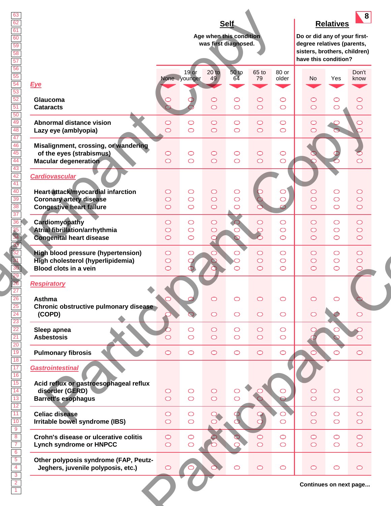|                                                                                                                                  |                               |                                        | Age when this condition<br>was first diagnosed. | <b>Self</b>                       |                                     |                                        | Do or did any of your first-<br>degree relatives (parents,<br>sisters, brothers, children)<br>have this condition? | <b>Relatives</b>                 | 8                                   |
|----------------------------------------------------------------------------------------------------------------------------------|-------------------------------|----------------------------------------|-------------------------------------------------|-----------------------------------|-------------------------------------|----------------------------------------|--------------------------------------------------------------------------------------------------------------------|----------------------------------|-------------------------------------|
| <b>Eye</b>                                                                                                                       |                               | $19$ or<br>None younger                | $\frac{20 \text{ to}}{49}$                      | <b>50 to</b><br>64                | 65 to<br>79                         | 80 or<br>older                         | No                                                                                                                 | Yes                              | Don't<br>know                       |
| Glaucoma<br><b>Cataracts</b>                                                                                                     |                               |                                        | $\circ$<br>$\circ$                              | $\circlearrowright$<br>$\bigcirc$ | $\circ$<br>$\circ$                  | $\bigcirc$<br>$\bigcirc$               | $\circ$<br>$\circ$                                                                                                 | O<br>$\circ$                     | $\circ$<br>$\circ$                  |
| <b>Abnormal distance vision</b><br>Lazy eye (amblyopia)                                                                          | $\circ$<br>$\circ$            | $\bigcirc$<br>$\bigcirc$               | $\circ$<br>$\circ$                              | $\circlearrowright$<br>$\bigcirc$ | $\circ$<br>$\circ$                  | $\bigcirc$<br>$\bigcirc$               | $\bigcirc$<br>$\circ$                                                                                              |                                  | C                                   |
| Misalignment, crossing, or wandering<br>of the eyes (strabismus)<br><b>Macular degeneration</b>                                  | $\circ$<br>$\circ$            | $\bigcirc$<br>$\circ$                  | $\circ$<br>$\circ$                              | $\circlearrowright$<br>$\bigcirc$ | $\circ$<br>$\circ$                  | $\bigcirc$<br>$\bigcirc$               |                                                                                                                    |                                  | $\bigcap$                           |
| <b>Cardiovascular</b><br>Heart attack/myocardial infarction<br><b>Coronary artery disease</b><br><b>Congestive heart failure</b> | $\circ$<br>$\circ$<br>$\circ$ | $\bigcirc$<br>$\circ$<br>$\bigcirc$    | $\bigcirc$<br>$\bigcirc$<br>$\circ$             | O<br>$\bigcirc$<br>$\bigcirc$     |                                     | $\bigcirc$<br>$\bigcirc$               | $\circ$<br>$\circ$<br>$\circ$                                                                                      | $\circ$<br>$\bigcirc$<br>$\circ$ | $\circ$<br>$\bigcirc$<br>$\bigcirc$ |
| Cardiomyopathy<br>Atrial fibrillation/arrhythmia<br><b>Congenital heart disease</b>                                              | $\circ$<br>$\circ$<br>$\circ$ | $\bigcirc$<br>$\bigcirc$<br>$\bigcirc$ | $\bigcirc$<br>$\circ$                           |                                   | $\circ$<br>$\overline{O}$           | $\bigcirc$<br>$\bigcirc$<br>$\bigcirc$ | $\bigcirc$<br>$\bigcirc$<br>$\circ$                                                                                | $\circ$<br>$\circ$<br>$\circ$    | $\circ$<br>$\circ$<br>$\bigcirc$    |
| <b>High blood pressure (hypertension)</b><br>High cholesterol (hyperlipidemia)<br><b>Blood clots in a vein</b>                   | $\circ$<br>$\circ$<br>$\circ$ | $\circlearrowright$                    |                                                 | ⌒                                 | $\bigcirc$<br>$\bigcirc$<br>$\circ$ | $\bigcirc$<br>$\bigcirc$<br>$\bigcirc$ | $\circ$<br>$\bigcirc$<br>$\circ$                                                                                   | $\circ$<br>$\circ$<br>$\circ$    | $\circ$<br>$\bigcirc$<br>$\circ$    |
| <b>Respiratory</b><br><b>Asthma</b><br>Chronic obstructive pulmonary disease<br>(COPD)                                           |                               |                                        | $\bigcirc$<br>$\bigcirc$                        | O<br>$\bigcirc$                   | $\circ$<br>$\circ$                  | $\bigcirc$<br>$\bigcirc$               | O<br>$\circ$                                                                                                       |                                  | ⊂                                   |
| Sleep apnea<br><b>Asbestosis</b>                                                                                                 |                               | $\bigcirc$<br>$\bigcirc$               | $\bigcirc$<br>$\bigcirc$                        | $\bigcirc$<br>$\bigcirc$          | $\circ$<br>$\circ$                  | $\bigcirc$<br>$\bigcirc$               |                                                                                                                    |                                  |                                     |
| <b>Pulmonary fibrosis</b>                                                                                                        | $\circ$                       | $\circ$                                | $\circ$                                         | $\circ$                           | $\bigcirc$                          | $\bigcirc$                             |                                                                                                                    | $\circ$                          | $\circ$                             |
| <b>Gastrointestinal</b><br>Acid reflux or gastroesophageal reflux<br>disorder (GERD)<br><b>Barrett's esophagus</b>               | $\circ$<br>$\circ$            | $\bigcirc$<br>$\circ$                  | $\bigcirc$<br>$\circ$                           | $\bigcirc$                        |                                     | $\circ$                                | $\circ$<br>$\circ$                                                                                                 | $\bigcirc$<br>$\circ$            | $\circ$<br>$\circ$                  |
| <b>Celiac disease</b><br>Irritable bowel syndrome (IBS)                                                                          | $\circ$<br>$\bigcirc$         | $\bigcirc$<br>$\bigcirc$               |                                                 |                                   |                                     | $\bigcirc$                             | $\bigcirc$<br>$\circ$                                                                                              | $\circ$<br>$\circ$               | $\bigcirc$<br>$\bigcirc$            |
| Crohn's disease or ulcerative colitis<br><b>Lynch syndrome or HNPCC</b>                                                          | $\circ$<br>$\bigcirc$         | $\circ$<br>$\bigcirc$                  |                                                 |                                   | $\bigcirc$<br>$\overline{\bigcirc}$ | $\bigcirc$<br>$\bigcirc$               | $\bigcirc$<br>$\circ$                                                                                              | $\circ$<br>$\circ$               | $\bigcirc$<br>$\bigcirc$            |
| Other polyposis syndrome (FAP, Peutz-<br>Jeghers, juvenile polyposis, etc.)                                                      | $\circ$                       |                                        |                                                 | $\bigcirc$                        | $\circ$                             | $\bigcirc$                             | $\circ$                                                                                                            | $\circ$                          | $\circ$                             |
|                                                                                                                                  |                               |                                        |                                                 |                                   |                                     |                                        |                                                                                                                    | Continues on next page           |                                     |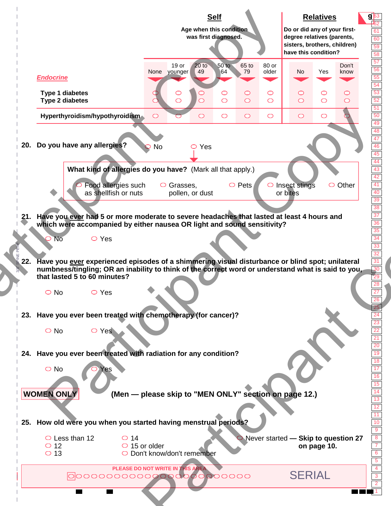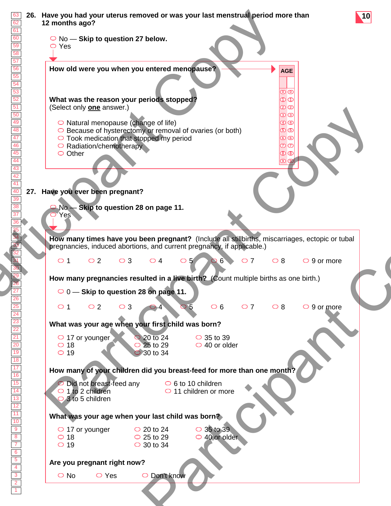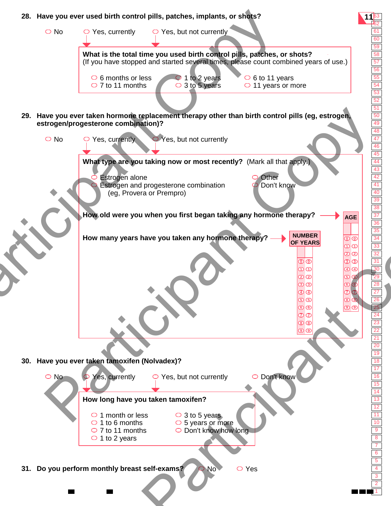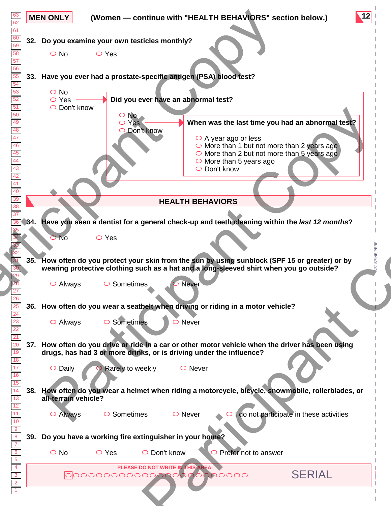| 62<br>61                                                                                      | <b>MEN ONLY</b><br>(Women - continue with "HEALTH BEHAVIORS" section below.)                                                                                                                                                                                                                                                                                                           |
|-----------------------------------------------------------------------------------------------|----------------------------------------------------------------------------------------------------------------------------------------------------------------------------------------------------------------------------------------------------------------------------------------------------------------------------------------------------------------------------------------|
| 59                                                                                            | 32. Do you examine your own testicles monthly?                                                                                                                                                                                                                                                                                                                                         |
|                                                                                               | $\bigcirc$ No<br>$\circ$ Yes                                                                                                                                                                                                                                                                                                                                                           |
| 56                                                                                            | 33. Have you ever had a prostate-specific antigen (PSA) blood test?                                                                                                                                                                                                                                                                                                                    |
| 54<br>53<br>52<br>51<br>50<br>49<br>48<br>47<br>46<br>45<br>44<br>43<br>$\frac{42}{41}$<br>40 | $\bigcirc$ No<br>Did you ever have an abnormal test?<br>$\circ$ Yes<br>$\circ$ Don't know<br>$\circ$ No<br>When was the last time you had an abnormal test?<br>O Yes<br>O Don't know<br>$\circ$ A year ago or less<br>$\circ$ More than 1 but not more than 2 years ago<br>$\circ$ More than 2 but not more than 5 years ago<br>$\circ$ More than 5 years ago<br>$\bigcirc$ Don't know |
|                                                                                               | <b>HEALTH BEHAVIORS</b>                                                                                                                                                                                                                                                                                                                                                                |
|                                                                                               |                                                                                                                                                                                                                                                                                                                                                                                        |
| 34.                                                                                           | Have you seen a dentist for a general check-up and teeth cleaning within the last 12 months?                                                                                                                                                                                                                                                                                           |
|                                                                                               | $>$ No<br>$\circ$ Yes                                                                                                                                                                                                                                                                                                                                                                  |
|                                                                                               | 35. How often do you protect your skin from the sun by using sunblock (SPF 15 or greater) or by                                                                                                                                                                                                                                                                                        |
|                                                                                               | wearing protective clothing such as a hat and a long-sleeved shirt when you go outside?                                                                                                                                                                                                                                                                                                |
| 26                                                                                            | $\circ$ Always<br>$\circ$ Sometimes<br>Never                                                                                                                                                                                                                                                                                                                                           |
|                                                                                               | 36. How often do you wear a seatbelt when driving or riding in a motor vehicle?                                                                                                                                                                                                                                                                                                        |
| 24<br>$\frac{23}{ }$<br>$\overline{22}$<br>21                                                 | $\circ$ Never<br>$\circ$ Always<br>$\circ$ Sometimes                                                                                                                                                                                                                                                                                                                                   |
| $\boxed{20}$<br>19                                                                            | 37. How often do you drive or ride in a car or other motor vehicle when the driver has been using<br>drugs, has had 3 or more drinks, or is driving under the influence?                                                                                                                                                                                                               |
| 18<br>17                                                                                      | $\circ$ Daily<br>Rarely to weekly<br>$\circ$ Never                                                                                                                                                                                                                                                                                                                                     |
| 16<br>15                                                                                      |                                                                                                                                                                                                                                                                                                                                                                                        |
| 13<br>12                                                                                      | 38. How often do you wear a helmet when riding a motorcycle, bicycle, snowmobile, rollerblades, or<br>all-terrain vehicle?                                                                                                                                                                                                                                                             |
| 11<br>10                                                                                      | I do not participate in these activities<br>$\circ$ Always<br>$\circ$ Sometimes<br>$\circ$ Never                                                                                                                                                                                                                                                                                       |
| 9<br>39.                                                                                      | Do you have a working fire extinguisher in your home?                                                                                                                                                                                                                                                                                                                                  |
| $\overline{7}$<br>$6\overline{6}$<br>$\overline{5}$                                           | $\bigcirc$ No<br>$\circ$ Yes<br>$\circ$ Don't know<br>Prefer not to answer<br>⊃                                                                                                                                                                                                                                                                                                        |
| $\overline{4}$<br>$\overline{\mathbf{3}}$                                                     | PLEASE DO NOT WRITE IN THIS AREA<br><b>SERIAL</b><br>0000000000000000000000000                                                                                                                                                                                                                                                                                                         |
| $\overline{2}$                                                                                |                                                                                                                                                                                                                                                                                                                                                                                        |
|                                                                                               |                                                                                                                                                                                                                                                                                                                                                                                        |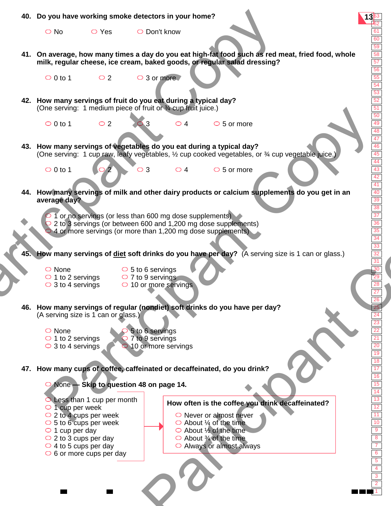1 2 3 4 5 6 7 8 9 10 11 12 13 14 15 16 17 18 19 20 21 22 23 24 25 26 27 28 29 30 31 32 33 34 35 36 37 38 39 40 41 42 43 44 45 46 47 48 49 50 51 52 53 54 55 56 57 58 59 60 61 62 **40. Do you have working smoke detectors in your home? 13**<sup>63</sup> **41. On average, how many times a day do you eat high-fat food such as red meat, fried food, whole milk, regular cheese, ice cream, baked goods, or regular salad dressing?**  $\overline{O}$  0 to 1  $\overline{O}$  2  $\overline{O}$  3 or more **42. How many servings of fruit do you eat during a typical day?** (One serving: 1 medium piece of fruit or ¾ cup fruit juice.)  $\bigcirc$  0 to 1  $\bigcirc$  2  $\bigcirc$  3  $\bigcirc$  4  $\bigcirc$  5 or more **43. How many servings of vegetables do you eat during a typical day?** (One serving: 1 cup raw, leafy vegetables, ½ cup cooked vegetables, or ¾ cup vegetable juice.)  $\bigcirc$  0 to 1  $\bigcirc$  2  $\bigcirc$  3  $\bigcirc$  4  $\bigcirc$  5 or more **44. How many servings of milk and other dairy products or calcium supplements do you get in an average day?** 1 or no servings (or less than 600 mg dose supplements) 2 to 3 servings (or between 600 and 1,200 mg dose supplements) 4 or more servings (or more than 1,200 mg dose supplements) **How many servings of diet soft drinks do you have per day?** (A serving size is 1 can or glass.) ○ None  $\circ$  1 to 2 servings  $\circ$  3 to 4 servings **46. How many servings of regular (nondiet) soft drinks do you have per day?**  (A serving size is 1 can or glass.)  $\circ$  5 to 6 servings  $\circ$  7 to 9 servings  $\circ$  10 or more servings 5 to 6 servings 7 to 9 servings 10 or more servings ○ None  $\circ$  1 to 2 servings  $\circ$  3 to 4 servings **47. How many cups of coffee, caffeinated or decaffeinated, do you drink?** O No O Yes O Don't know None **— Skip to question 48 on page 14.**  $\bigcirc$  Less than 1 cup per month  $\circ$  1 cup per week  $\circ$  2 to 4 cups per week  $\circ$  5 to 6 cups per week  $\circ$  1 cup per day  $\circ$  2 to 3 cups per day  $\circ$  4 to 5 cups per day  $\circ$  6 or more cups per day  $\circ$  Never or almost never  $\bigcirc$  About  $\frac{1}{4}$  of the time  $\bigcirc$  About  $\frac{1}{2}$  of the time  $\bigcirc$  About  $\frac{3}{4}$  of the time Always or almost always **How often is the coffee you drink decaffeinated?** 40. Do you have working smoke detectors in your home?<br>  $\frac{1}{2}$  No  $\frac{1}{2}$  Yes  $\frac{1}{2}$  Don't know<br>
41. On average, how many times a day do you eat high-rat food such as red milk, regular cheese, ice cream, baked good ne serving: 1 medium piece of Irluit of weap little (i.e.)<br>
or to the many servings of the participant Copy use at during a typical day<br>
or to the many serving is dependeble, the curve of service of the service of the many n 600 mg dose supplements)<br>
600 and 1,200 mg dose supplements)<br>
than 1,200 mg dose supplements)<br>
drinks do you have per day?<br>
e servings<br>
9 servings<br>
9 servings<br>
2 for the servings<br>
2 for the servings<br>
2 for the servings<br>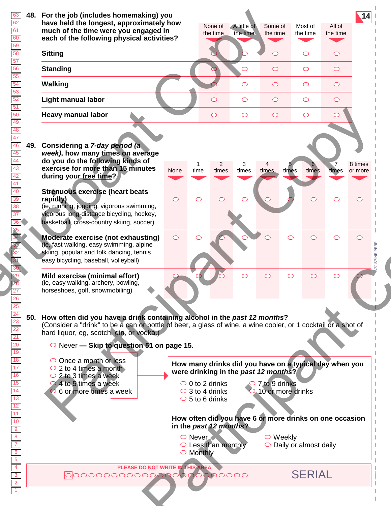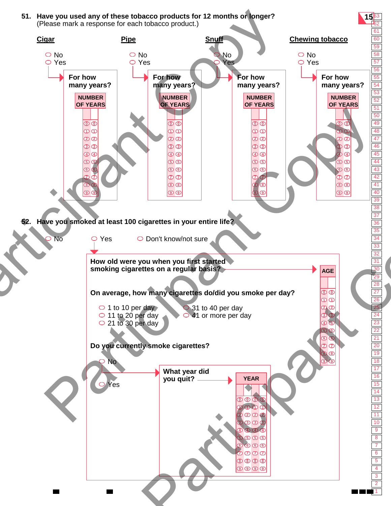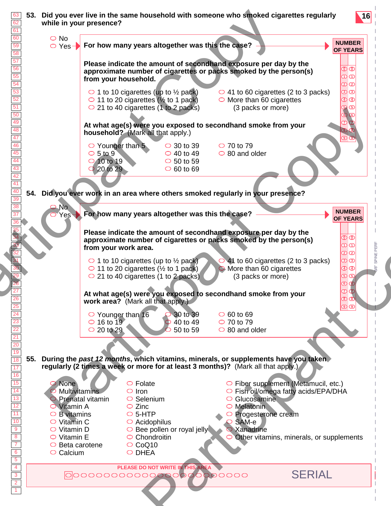| <b>NUMBER</b><br>For how many years altogether was this the case?<br>○ Yes-<br>Please indicate the amount of secondhand exposure per day by the<br>$\overline{\mathbb{D}}\,\overline{\mathbb{O}}$<br>approximate number of cigarettes or packs smoked by the person(s)<br>$\overline{\mathbf{O}}$ ന<br>from your household.<br>$\bm{\mathcal{D}}$ ව<br>$\overline{\mathcal{D}}$ ග<br>$\circ$ 1 to 10 cigarettes (up to $\frac{1}{2}$ pack)<br>$\circ$ 41 to 60 cigarettes (2 to 3 packs)<br>$\overline{\mathbf{\Phi}}\overline{\mathbf{\Phi}}$<br>$\circ$ 11 to 20 cigarettes ( $\frac{1}{2}$ to 1 pack)<br>$\circ$ More than 60 cigarettes<br>$\overline{5}$ $\overline{5}$<br>$\circ$ 21 to 40 cigarettes (1 to 2 packs)<br>(3 packs or more)<br>At what age(s) were you exposed to secondhand smoke from your<br>household? (Mark all that apply.)<br>$\circ$ 70 to 79<br>$\circ$ Younger than 5<br>$\circ$ 30 to 39<br>$\circ$ 5 to 9<br>$\circ$ 40 to 49<br>$\circ$ 80 and older<br>O 10 to 19<br>$\circ$ 50 to 59<br>$\circ$ 60 to 69<br>$\bigcirc$ 20 to 29<br>Did you ever work in an area where others smoked regularly in your presence?<br>N <sub>o</sub><br><b>NUMBER</b><br>Yes For how many years altogether was this the case?<br>Please indicate the amount of secondhand exposure per day by the<br>စ $\overline{\mathbf{0}}$<br>approximate number of cigarettes or packs smoked by the person(s)<br>$\overline{\mathbf{O}}$ $\overline{\mathbf{O}}$<br>from your work area.<br>$\bm{\mathcal{D}}$ ව<br>$\overline{\mathbf{O}}$ ග<br>$\bigcirc$ 41 to 60 cigarettes (2 to 3 packs)<br>$\circ$ 1 to 10 cigarettes (up to $\frac{1}{2}$ pack)<br>$\circledcirc$<br>$\circ$ 11 to 20 cigarettes ( $\frac{1}{2}$ to 1 pack)<br>O More than 60 cigarettes<br>$\circledcirc$<br>$\circ$ 21 to 40 cigarettes (1 to 2 packs)<br>(3 packs or more)<br>At what age(s) were you exposed to secondhand smoke from your<br>$\overline{\mathbf{B}}$ (8)<br>work area? (Mark all that apply.)<br>$\overline{\mathbf{\Theta}}$ $\overline{\mathbf{\Theta}}$<br>$\circ$ Younger than 16<br>30 to 39<br>$\circ$ 60 to 69<br>$\circ$ 16 to 19<br>$\circ$ 70 to 79<br>40 to 49<br>$\bigcirc$ 20 to 29<br>50 to 59<br>$\circ$ 80 and older<br>During the past 12 months, which vitamins, minerals, or supplements have you taken<br>regularly (2 times a week or more for at least 3 months)? (Mark all that apply.)<br>$\circ$ Folate<br>$\circ$ Fiber supplement (Metamucil, etc.)<br>None<br>Multivitamins<br>$\circ$ Iron<br>○ Fish oil/omega fatty acids/EPA/DHA<br>$\circ$ Selenium<br>$\circ$ Glucosamine<br>Prenatal vitamin<br>$\circ$ Melatonin<br><b>O</b> Vitamin A<br>$\circ$ Zinc<br>$\circ$ 5-HTP<br>$\circ$ B vitamins<br>Progesterone cream<br>$\circ$ Vitamin C<br>$\circ$ Acidophilus<br>SAM-e<br>$\circ$ Vitamin D<br>$\circ$ Bee pollen or royal jelly<br>$\supset$ Xanadrine<br>$\circ$ Vitamin E<br>$\circ$ Chondroitin<br>$\bigcirc$ Other vitamins, minerals, or supplements<br>$\circ$ CoQ10<br>$\circ$ Beta carotene<br>O DHEA<br>$\circ$ Calcium<br>PLEASE DO NOT WRITE IN THIS AREA<br><b>SERIAL</b><br>000000000000000000000000 | 60                                                                                                                                                   | $\bigcirc$ No |  |  |  |                 |
|------------------------------------------------------------------------------------------------------------------------------------------------------------------------------------------------------------------------------------------------------------------------------------------------------------------------------------------------------------------------------------------------------------------------------------------------------------------------------------------------------------------------------------------------------------------------------------------------------------------------------------------------------------------------------------------------------------------------------------------------------------------------------------------------------------------------------------------------------------------------------------------------------------------------------------------------------------------------------------------------------------------------------------------------------------------------------------------------------------------------------------------------------------------------------------------------------------------------------------------------------------------------------------------------------------------------------------------------------------------------------------------------------------------------------------------------------------------------------------------------------------------------------------------------------------------------------------------------------------------------------------------------------------------------------------------------------------------------------------------------------------------------------------------------------------------------------------------------------------------------------------------------------------------------------------------------------------------------------------------------------------------------------------------------------------------------------------------------------------------------------------------------------------------------------------------------------------------------------------------------------------------------------------------------------------------------------------------------------------------------------------------------------------------------------------------------------------------------------------------------------------------------------------------------------------------------------------------------------------------------------------------------------------------------------------------------------------------------------------------------------------------------------------------------------------------------------------------------------------------------------------------------------------------------------------------------------------------------------------------------------------------------------------------------------------------------------------------------------------------------------------------------------------|------------------------------------------------------------------------------------------------------------------------------------------------------|---------------|--|--|--|-----------------|
|                                                                                                                                                                                                                                                                                                                                                                                                                                                                                                                                                                                                                                                                                                                                                                                                                                                                                                                                                                                                                                                                                                                                                                                                                                                                                                                                                                                                                                                                                                                                                                                                                                                                                                                                                                                                                                                                                                                                                                                                                                                                                                                                                                                                                                                                                                                                                                                                                                                                                                                                                                                                                                                                                                                                                                                                                                                                                                                                                                                                                                                                                                                                                            | 59<br>58                                                                                                                                             |               |  |  |  | <b>OF YEARS</b> |
|                                                                                                                                                                                                                                                                                                                                                                                                                                                                                                                                                                                                                                                                                                                                                                                                                                                                                                                                                                                                                                                                                                                                                                                                                                                                                                                                                                                                                                                                                                                                                                                                                                                                                                                                                                                                                                                                                                                                                                                                                                                                                                                                                                                                                                                                                                                                                                                                                                                                                                                                                                                                                                                                                                                                                                                                                                                                                                                                                                                                                                                                                                                                                            | $\overline{57}$                                                                                                                                      |               |  |  |  |                 |
|                                                                                                                                                                                                                                                                                                                                                                                                                                                                                                                                                                                                                                                                                                                                                                                                                                                                                                                                                                                                                                                                                                                                                                                                                                                                                                                                                                                                                                                                                                                                                                                                                                                                                                                                                                                                                                                                                                                                                                                                                                                                                                                                                                                                                                                                                                                                                                                                                                                                                                                                                                                                                                                                                                                                                                                                                                                                                                                                                                                                                                                                                                                                                            | 56<br>55                                                                                                                                             |               |  |  |  |                 |
|                                                                                                                                                                                                                                                                                                                                                                                                                                                                                                                                                                                                                                                                                                                                                                                                                                                                                                                                                                                                                                                                                                                                                                                                                                                                                                                                                                                                                                                                                                                                                                                                                                                                                                                                                                                                                                                                                                                                                                                                                                                                                                                                                                                                                                                                                                                                                                                                                                                                                                                                                                                                                                                                                                                                                                                                                                                                                                                                                                                                                                                                                                                                                            | $\frac{54}{53}$                                                                                                                                      |               |  |  |  |                 |
|                                                                                                                                                                                                                                                                                                                                                                                                                                                                                                                                                                                                                                                                                                                                                                                                                                                                                                                                                                                                                                                                                                                                                                                                                                                                                                                                                                                                                                                                                                                                                                                                                                                                                                                                                                                                                                                                                                                                                                                                                                                                                                                                                                                                                                                                                                                                                                                                                                                                                                                                                                                                                                                                                                                                                                                                                                                                                                                                                                                                                                                                                                                                                            | $\frac{52}{51}$                                                                                                                                      |               |  |  |  |                 |
|                                                                                                                                                                                                                                                                                                                                                                                                                                                                                                                                                                                                                                                                                                                                                                                                                                                                                                                                                                                                                                                                                                                                                                                                                                                                                                                                                                                                                                                                                                                                                                                                                                                                                                                                                                                                                                                                                                                                                                                                                                                                                                                                                                                                                                                                                                                                                                                                                                                                                                                                                                                                                                                                                                                                                                                                                                                                                                                                                                                                                                                                                                                                                            | $\frac{50}{49}$                                                                                                                                      |               |  |  |  |                 |
|                                                                                                                                                                                                                                                                                                                                                                                                                                                                                                                                                                                                                                                                                                                                                                                                                                                                                                                                                                                                                                                                                                                                                                                                                                                                                                                                                                                                                                                                                                                                                                                                                                                                                                                                                                                                                                                                                                                                                                                                                                                                                                                                                                                                                                                                                                                                                                                                                                                                                                                                                                                                                                                                                                                                                                                                                                                                                                                                                                                                                                                                                                                                                            | 48<br>47                                                                                                                                             |               |  |  |  |                 |
|                                                                                                                                                                                                                                                                                                                                                                                                                                                                                                                                                                                                                                                                                                                                                                                                                                                                                                                                                                                                                                                                                                                                                                                                                                                                                                                                                                                                                                                                                                                                                                                                                                                                                                                                                                                                                                                                                                                                                                                                                                                                                                                                                                                                                                                                                                                                                                                                                                                                                                                                                                                                                                                                                                                                                                                                                                                                                                                                                                                                                                                                                                                                                            | 46<br>45                                                                                                                                             |               |  |  |  |                 |
|                                                                                                                                                                                                                                                                                                                                                                                                                                                                                                                                                                                                                                                                                                                                                                                                                                                                                                                                                                                                                                                                                                                                                                                                                                                                                                                                                                                                                                                                                                                                                                                                                                                                                                                                                                                                                                                                                                                                                                                                                                                                                                                                                                                                                                                                                                                                                                                                                                                                                                                                                                                                                                                                                                                                                                                                                                                                                                                                                                                                                                                                                                                                                            | 44                                                                                                                                                   |               |  |  |  |                 |
|                                                                                                                                                                                                                                                                                                                                                                                                                                                                                                                                                                                                                                                                                                                                                                                                                                                                                                                                                                                                                                                                                                                                                                                                                                                                                                                                                                                                                                                                                                                                                                                                                                                                                                                                                                                                                                                                                                                                                                                                                                                                                                                                                                                                                                                                                                                                                                                                                                                                                                                                                                                                                                                                                                                                                                                                                                                                                                                                                                                                                                                                                                                                                            | 43<br>$\overline{42}$                                                                                                                                |               |  |  |  |                 |
|                                                                                                                                                                                                                                                                                                                                                                                                                                                                                                                                                                                                                                                                                                                                                                                                                                                                                                                                                                                                                                                                                                                                                                                                                                                                                                                                                                                                                                                                                                                                                                                                                                                                                                                                                                                                                                                                                                                                                                                                                                                                                                                                                                                                                                                                                                                                                                                                                                                                                                                                                                                                                                                                                                                                                                                                                                                                                                                                                                                                                                                                                                                                                            | 41<br>$\frac{40}{39}$<br>54.                                                                                                                         |               |  |  |  |                 |
|                                                                                                                                                                                                                                                                                                                                                                                                                                                                                                                                                                                                                                                                                                                                                                                                                                                                                                                                                                                                                                                                                                                                                                                                                                                                                                                                                                                                                                                                                                                                                                                                                                                                                                                                                                                                                                                                                                                                                                                                                                                                                                                                                                                                                                                                                                                                                                                                                                                                                                                                                                                                                                                                                                                                                                                                                                                                                                                                                                                                                                                                                                                                                            | 38                                                                                                                                                   |               |  |  |  |                 |
|                                                                                                                                                                                                                                                                                                                                                                                                                                                                                                                                                                                                                                                                                                                                                                                                                                                                                                                                                                                                                                                                                                                                                                                                                                                                                                                                                                                                                                                                                                                                                                                                                                                                                                                                                                                                                                                                                                                                                                                                                                                                                                                                                                                                                                                                                                                                                                                                                                                                                                                                                                                                                                                                                                                                                                                                                                                                                                                                                                                                                                                                                                                                                            |                                                                                                                                                      |               |  |  |  | <b>OF YEARS</b> |
|                                                                                                                                                                                                                                                                                                                                                                                                                                                                                                                                                                                                                                                                                                                                                                                                                                                                                                                                                                                                                                                                                                                                                                                                                                                                                                                                                                                                                                                                                                                                                                                                                                                                                                                                                                                                                                                                                                                                                                                                                                                                                                                                                                                                                                                                                                                                                                                                                                                                                                                                                                                                                                                                                                                                                                                                                                                                                                                                                                                                                                                                                                                                                            |                                                                                                                                                      |               |  |  |  |                 |
|                                                                                                                                                                                                                                                                                                                                                                                                                                                                                                                                                                                                                                                                                                                                                                                                                                                                                                                                                                                                                                                                                                                                                                                                                                                                                                                                                                                                                                                                                                                                                                                                                                                                                                                                                                                                                                                                                                                                                                                                                                                                                                                                                                                                                                                                                                                                                                                                                                                                                                                                                                                                                                                                                                                                                                                                                                                                                                                                                                                                                                                                                                                                                            |                                                                                                                                                      |               |  |  |  |                 |
|                                                                                                                                                                                                                                                                                                                                                                                                                                                                                                                                                                                                                                                                                                                                                                                                                                                                                                                                                                                                                                                                                                                                                                                                                                                                                                                                                                                                                                                                                                                                                                                                                                                                                                                                                                                                                                                                                                                                                                                                                                                                                                                                                                                                                                                                                                                                                                                                                                                                                                                                                                                                                                                                                                                                                                                                                                                                                                                                                                                                                                                                                                                                                            |                                                                                                                                                      |               |  |  |  |                 |
|                                                                                                                                                                                                                                                                                                                                                                                                                                                                                                                                                                                                                                                                                                                                                                                                                                                                                                                                                                                                                                                                                                                                                                                                                                                                                                                                                                                                                                                                                                                                                                                                                                                                                                                                                                                                                                                                                                                                                                                                                                                                                                                                                                                                                                                                                                                                                                                                                                                                                                                                                                                                                                                                                                                                                                                                                                                                                                                                                                                                                                                                                                                                                            |                                                                                                                                                      |               |  |  |  |                 |
|                                                                                                                                                                                                                                                                                                                                                                                                                                                                                                                                                                                                                                                                                                                                                                                                                                                                                                                                                                                                                                                                                                                                                                                                                                                                                                                                                                                                                                                                                                                                                                                                                                                                                                                                                                                                                                                                                                                                                                                                                                                                                                                                                                                                                                                                                                                                                                                                                                                                                                                                                                                                                                                                                                                                                                                                                                                                                                                                                                                                                                                                                                                                                            |                                                                                                                                                      |               |  |  |  |                 |
|                                                                                                                                                                                                                                                                                                                                                                                                                                                                                                                                                                                                                                                                                                                                                                                                                                                                                                                                                                                                                                                                                                                                                                                                                                                                                                                                                                                                                                                                                                                                                                                                                                                                                                                                                                                                                                                                                                                                                                                                                                                                                                                                                                                                                                                                                                                                                                                                                                                                                                                                                                                                                                                                                                                                                                                                                                                                                                                                                                                                                                                                                                                                                            |                                                                                                                                                      |               |  |  |  |                 |
|                                                                                                                                                                                                                                                                                                                                                                                                                                                                                                                                                                                                                                                                                                                                                                                                                                                                                                                                                                                                                                                                                                                                                                                                                                                                                                                                                                                                                                                                                                                                                                                                                                                                                                                                                                                                                                                                                                                                                                                                                                                                                                                                                                                                                                                                                                                                                                                                                                                                                                                                                                                                                                                                                                                                                                                                                                                                                                                                                                                                                                                                                                                                                            | $\begin{array}{r c}\n\hline\n26 & 25 \\ \hline\n24 & 23 \\ \hline\n22 & 21 \\ \hline\n20 & 19\n\end{array}$                                          |               |  |  |  |                 |
|                                                                                                                                                                                                                                                                                                                                                                                                                                                                                                                                                                                                                                                                                                                                                                                                                                                                                                                                                                                                                                                                                                                                                                                                                                                                                                                                                                                                                                                                                                                                                                                                                                                                                                                                                                                                                                                                                                                                                                                                                                                                                                                                                                                                                                                                                                                                                                                                                                                                                                                                                                                                                                                                                                                                                                                                                                                                                                                                                                                                                                                                                                                                                            |                                                                                                                                                      |               |  |  |  |                 |
|                                                                                                                                                                                                                                                                                                                                                                                                                                                                                                                                                                                                                                                                                                                                                                                                                                                                                                                                                                                                                                                                                                                                                                                                                                                                                                                                                                                                                                                                                                                                                                                                                                                                                                                                                                                                                                                                                                                                                                                                                                                                                                                                                                                                                                                                                                                                                                                                                                                                                                                                                                                                                                                                                                                                                                                                                                                                                                                                                                                                                                                                                                                                                            |                                                                                                                                                      |               |  |  |  |                 |
|                                                                                                                                                                                                                                                                                                                                                                                                                                                                                                                                                                                                                                                                                                                                                                                                                                                                                                                                                                                                                                                                                                                                                                                                                                                                                                                                                                                                                                                                                                                                                                                                                                                                                                                                                                                                                                                                                                                                                                                                                                                                                                                                                                                                                                                                                                                                                                                                                                                                                                                                                                                                                                                                                                                                                                                                                                                                                                                                                                                                                                                                                                                                                            | 55.<br>18                                                                                                                                            |               |  |  |  |                 |
|                                                                                                                                                                                                                                                                                                                                                                                                                                                                                                                                                                                                                                                                                                                                                                                                                                                                                                                                                                                                                                                                                                                                                                                                                                                                                                                                                                                                                                                                                                                                                                                                                                                                                                                                                                                                                                                                                                                                                                                                                                                                                                                                                                                                                                                                                                                                                                                                                                                                                                                                                                                                                                                                                                                                                                                                                                                                                                                                                                                                                                                                                                                                                            |                                                                                                                                                      |               |  |  |  |                 |
|                                                                                                                                                                                                                                                                                                                                                                                                                                                                                                                                                                                                                                                                                                                                                                                                                                                                                                                                                                                                                                                                                                                                                                                                                                                                                                                                                                                                                                                                                                                                                                                                                                                                                                                                                                                                                                                                                                                                                                                                                                                                                                                                                                                                                                                                                                                                                                                                                                                                                                                                                                                                                                                                                                                                                                                                                                                                                                                                                                                                                                                                                                                                                            |                                                                                                                                                      |               |  |  |  |                 |
|                                                                                                                                                                                                                                                                                                                                                                                                                                                                                                                                                                                                                                                                                                                                                                                                                                                                                                                                                                                                                                                                                                                                                                                                                                                                                                                                                                                                                                                                                                                                                                                                                                                                                                                                                                                                                                                                                                                                                                                                                                                                                                                                                                                                                                                                                                                                                                                                                                                                                                                                                                                                                                                                                                                                                                                                                                                                                                                                                                                                                                                                                                                                                            |                                                                                                                                                      |               |  |  |  |                 |
|                                                                                                                                                                                                                                                                                                                                                                                                                                                                                                                                                                                                                                                                                                                                                                                                                                                                                                                                                                                                                                                                                                                                                                                                                                                                                                                                                                                                                                                                                                                                                                                                                                                                                                                                                                                                                                                                                                                                                                                                                                                                                                                                                                                                                                                                                                                                                                                                                                                                                                                                                                                                                                                                                                                                                                                                                                                                                                                                                                                                                                                                                                                                                            | $\begin{array}{r c c c} \hline 17 & 16 \\ \hline 16 & 14 \\ \hline 11 & 12 \\ \hline 11 & 10 \\ \hline 9 & 8 \\ \hline 7 & 14 \\ \hline \end{array}$ |               |  |  |  |                 |
|                                                                                                                                                                                                                                                                                                                                                                                                                                                                                                                                                                                                                                                                                                                                                                                                                                                                                                                                                                                                                                                                                                                                                                                                                                                                                                                                                                                                                                                                                                                                                                                                                                                                                                                                                                                                                                                                                                                                                                                                                                                                                                                                                                                                                                                                                                                                                                                                                                                                                                                                                                                                                                                                                                                                                                                                                                                                                                                                                                                                                                                                                                                                                            |                                                                                                                                                      |               |  |  |  |                 |
|                                                                                                                                                                                                                                                                                                                                                                                                                                                                                                                                                                                                                                                                                                                                                                                                                                                                                                                                                                                                                                                                                                                                                                                                                                                                                                                                                                                                                                                                                                                                                                                                                                                                                                                                                                                                                                                                                                                                                                                                                                                                                                                                                                                                                                                                                                                                                                                                                                                                                                                                                                                                                                                                                                                                                                                                                                                                                                                                                                                                                                                                                                                                                            |                                                                                                                                                      |               |  |  |  |                 |
|                                                                                                                                                                                                                                                                                                                                                                                                                                                                                                                                                                                                                                                                                                                                                                                                                                                                                                                                                                                                                                                                                                                                                                                                                                                                                                                                                                                                                                                                                                                                                                                                                                                                                                                                                                                                                                                                                                                                                                                                                                                                                                                                                                                                                                                                                                                                                                                                                                                                                                                                                                                                                                                                                                                                                                                                                                                                                                                                                                                                                                                                                                                                                            |                                                                                                                                                      |               |  |  |  |                 |
|                                                                                                                                                                                                                                                                                                                                                                                                                                                                                                                                                                                                                                                                                                                                                                                                                                                                                                                                                                                                                                                                                                                                                                                                                                                                                                                                                                                                                                                                                                                                                                                                                                                                                                                                                                                                                                                                                                                                                                                                                                                                                                                                                                                                                                                                                                                                                                                                                                                                                                                                                                                                                                                                                                                                                                                                                                                                                                                                                                                                                                                                                                                                                            | $\begin{array}{c c}\n\hline\n6 \\ \hline\n5 \\ \hline\n4 \\ \hline\n3 \\ \hline\n2\n\end{array}$                                                     |               |  |  |  |                 |
|                                                                                                                                                                                                                                                                                                                                                                                                                                                                                                                                                                                                                                                                                                                                                                                                                                                                                                                                                                                                                                                                                                                                                                                                                                                                                                                                                                                                                                                                                                                                                                                                                                                                                                                                                                                                                                                                                                                                                                                                                                                                                                                                                                                                                                                                                                                                                                                                                                                                                                                                                                                                                                                                                                                                                                                                                                                                                                                                                                                                                                                                                                                                                            |                                                                                                                                                      |               |  |  |  |                 |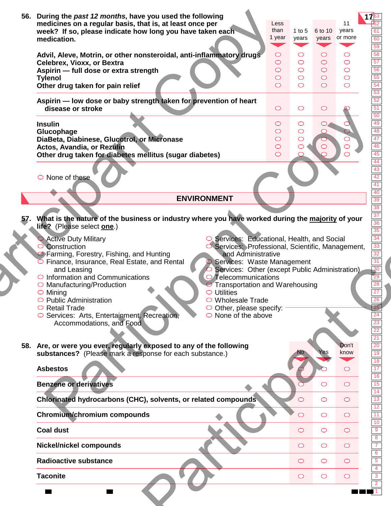| 56. | During the past 12 months, have you used the following<br>medicines on a regular basis, that is, at least once per<br>week? If so, please indicate how long you have taken each<br>medication.                                                                                                                                                                                                                                                                                                                                                 | Less<br>than<br>1 year                                             | 1 to $5$<br>years                                      | 6 to 10<br>years                                 | years<br>or more                              | 61<br>60<br>59                                |
|-----|------------------------------------------------------------------------------------------------------------------------------------------------------------------------------------------------------------------------------------------------------------------------------------------------------------------------------------------------------------------------------------------------------------------------------------------------------------------------------------------------------------------------------------------------|--------------------------------------------------------------------|--------------------------------------------------------|--------------------------------------------------|-----------------------------------------------|-----------------------------------------------|
|     | Advil, Aleve, Motrin, or other nonsteroidal, anti-inflammatory drugs<br>Celebrex, Vioxx, or Bextra<br>Aspirin - full dose or extra strength<br><b>Tylenol</b><br>Other drug taken for pain relief                                                                                                                                                                                                                                                                                                                                              | $\circ$<br>$\circlearrowright$<br>$\circ$<br>$\circ$<br>$\bigcirc$ | O<br>$\bigcirc$<br>$\bigcirc$<br>$\bigcirc$<br>$\circ$ | ◯<br>$\circ$<br>$\circ$<br>$\bigcirc$<br>$\circ$ | O<br>$\circ$<br>$\circ$<br>$\circ$<br>$\circ$ | 58<br>$\overline{57}$<br>56<br>55<br>54<br>53 |
|     | Aspirin - low dose or baby strength taken for prevention of heart<br>disease or stroke                                                                                                                                                                                                                                                                                                                                                                                                                                                         | $\circ$                                                            | $\bigcirc$                                             | $\circ$                                          |                                               | 52<br>51                                      |
|     | <b>Insulin</b><br>Glucophage<br>DiaBeta, Diabinese, Glucotrol, or Micronase<br>Actos, Avandia, or Rezulin<br>Other drug taken for diabetes mellitus (sugar diabetes)                                                                                                                                                                                                                                                                                                                                                                           | $\circ$<br>$\circ$<br>$\circ$<br>$\bigcirc$<br>$\circ$             | $\circ$<br>$\bigcirc$<br>$\bigcirc$                    |                                                  | ◯<br>O                                        | 50<br>49<br>48<br>47<br>46<br>45<br>44        |
|     | $\circ$ None of these                                                                                                                                                                                                                                                                                                                                                                                                                                                                                                                          |                                                                    |                                                        |                                                  |                                               | 43<br>42<br>41                                |
|     | <b>ENVIRONMENT</b>                                                                                                                                                                                                                                                                                                                                                                                                                                                                                                                             |                                                                    |                                                        |                                                  |                                               | 40<br>39                                      |
|     | 57. What is the nature of the business or industry where you have worked during the majority of your                                                                                                                                                                                                                                                                                                                                                                                                                                           |                                                                    |                                                        |                                                  |                                               | 38<br>$\overline{37}$<br>$\overline{36}$      |
|     | Services: Educational, Health, and Social<br><b>Active Duty Military</b><br>Construction<br>Services: Professional, Scientific, Management,<br>S Farming, Forestry, Fishing, and Hunting<br>and Administrative<br>Finance, Insurance, Real Estate, and Rental<br>Services: Waste Management<br>Services: Other (except Public Administration)<br>and Leasing<br>$\circ$ Information and Communications<br>O Telecommunications<br>Manufacturing/Production<br><b>Transportation and Warehousing</b><br>$\circ$ Mining<br><b>Utilities</b><br>⌒ |                                                                    |                                                        |                                                  |                                               | 34<br>33<br>32<br>31<br>$-30$<br>26<br>23     |
|     | $\circ$ Public Administration<br>○ Wholesale Trade<br>$\circ$ Retail Trade<br>$\circ$ Other, please specify:<br>○ Services: Arts, Entertainment, Recreation,<br>$\circ$ None of the above<br>Accommodations, and Food                                                                                                                                                                                                                                                                                                                          |                                                                    |                                                        |                                                  | Don't                                         | 22<br>$\overline{21}$<br>20                   |
|     | 58. Are, or were you ever, regularly exposed to any of the following<br>substances? (Please mark a response for each substance.)                                                                                                                                                                                                                                                                                                                                                                                                               |                                                                    |                                                        |                                                  | know                                          | $\overline{19}$<br>18<br>17                   |
|     | <b>Asbestos</b>                                                                                                                                                                                                                                                                                                                                                                                                                                                                                                                                |                                                                    |                                                        | ◯                                                | O<br>$\bigcirc$                               | 16<br>15                                      |
|     | <b>Benzene or derivatives</b><br>Chlorinated hydrocarbons (CHC), solvents, or related compounds                                                                                                                                                                                                                                                                                                                                                                                                                                                |                                                                    | $\bigcirc$                                             | $\circ$                                          | $\circ$                                       |                                               |
|     | Chromium/chromium compounds                                                                                                                                                                                                                                                                                                                                                                                                                                                                                                                    |                                                                    | $\bigcirc$                                             | $\circ$                                          | $\circ$                                       | 14<br>13<br>12<br>11                          |
|     | <b>Coal dust</b>                                                                                                                                                                                                                                                                                                                                                                                                                                                                                                                               |                                                                    | $\bigcirc$                                             | $\circ$                                          | $\circ$                                       |                                               |
|     | <b>Nickel/nickel compounds</b>                                                                                                                                                                                                                                                                                                                                                                                                                                                                                                                 |                                                                    | $\bigcirc$                                             | $\circ$                                          | $\circ$                                       |                                               |
|     | <b>Radioactive substance</b>                                                                                                                                                                                                                                                                                                                                                                                                                                                                                                                   |                                                                    | $\bigcirc$                                             | $\circ$                                          | $\circ$                                       | 10                                            |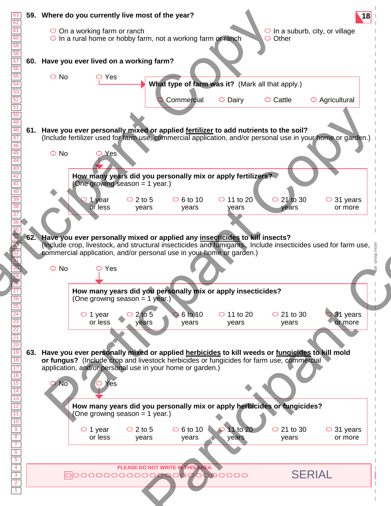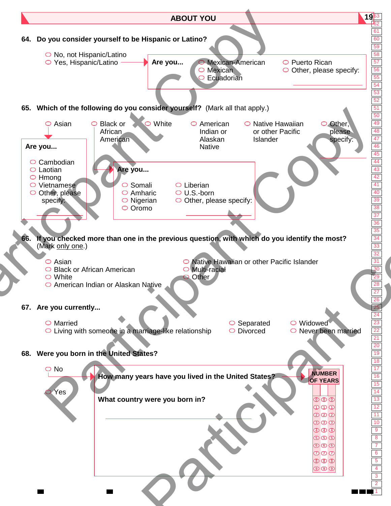